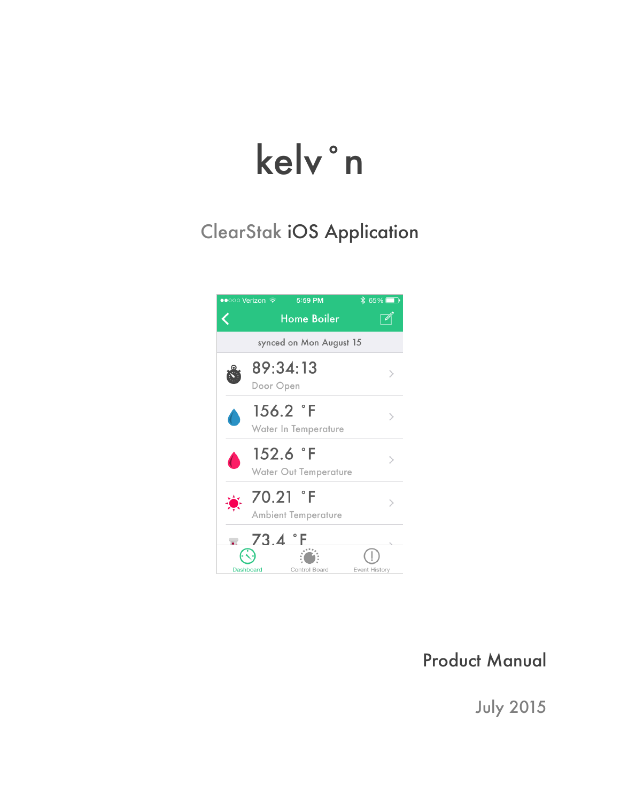# kelv˚n

# ClearStak iOS Application



## Product Manual

July 2015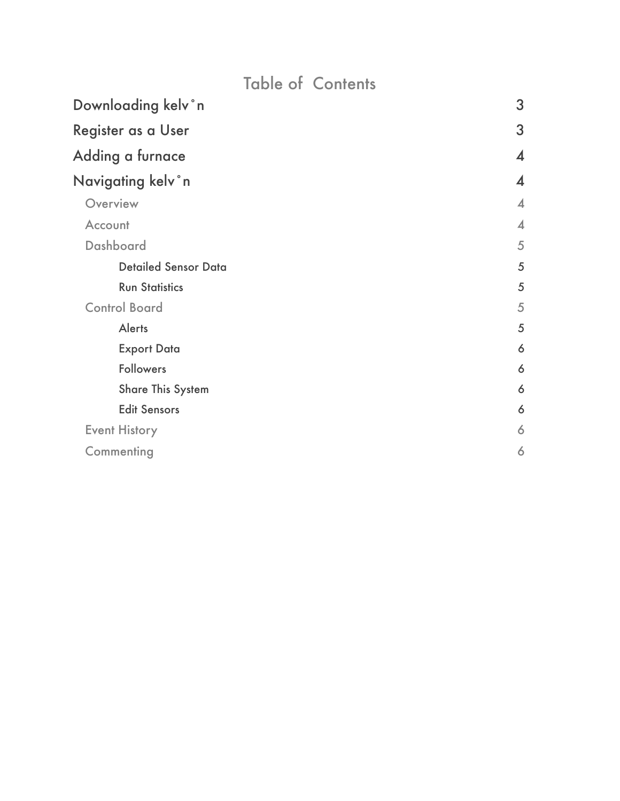# Table of Contents

| Downloading kelv°n          | 3                          |
|-----------------------------|----------------------------|
| Register as a User          | 3                          |
| Adding a furnace            | $\boldsymbol{\mathcal{A}}$ |
| Navigating kelv°n           | $\boldsymbol{4}$           |
| Overview                    | $\overline{\mathcal{A}}$   |
| Account                     | $\overline{\mathcal{A}}$   |
| Dashboard                   | 5                          |
| <b>Detailed Sensor Data</b> | 5                          |
| <b>Run Statistics</b>       | 5                          |
| <b>Control Board</b>        | 5                          |
| <b>Alerts</b>               | 5                          |
| <b>Export Data</b>          | 6                          |
| <b>Followers</b>            | 6                          |
| <b>Share This System</b>    | 6                          |
| <b>Edit Sensors</b>         | 6                          |
| <b>Event History</b>        | 6                          |
| Commenting                  | 6                          |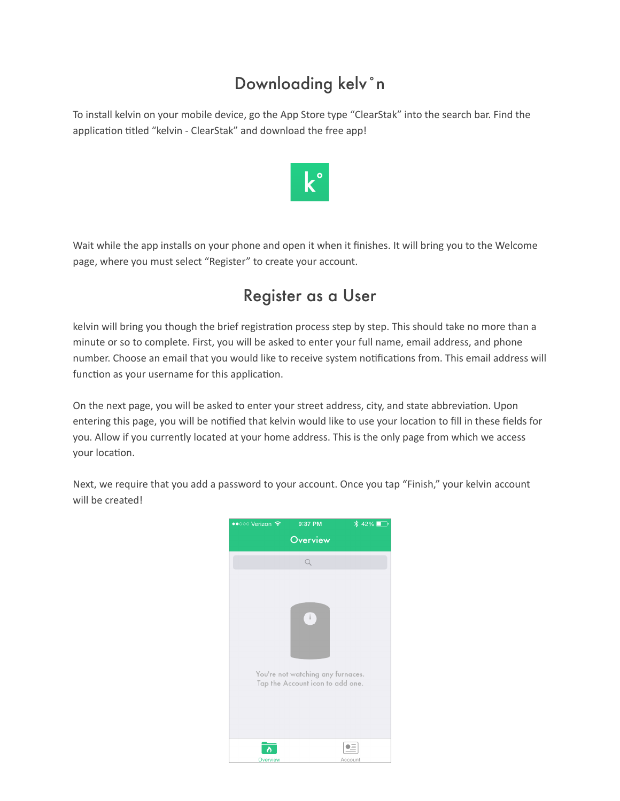# Downloading kelv˚n

To install kelvin on your mobile device, go the App Store type "ClearStak" into the search bar. Find the application titled "kelvin - ClearStak" and download the free app!



Wait while the app installs on your phone and open it when it finishes. It will bring you to the Welcome page, where you must select "Register" to create your account.

## Register as a User

kelvin will bring you though the brief registration process step by step. This should take no more than a minute or so to complete. First, you will be asked to enter your full name, email address, and phone number. Choose an email that you would like to receive system notifications from. This email address will function as your username for this application.

On the next page, you will be asked to enter your street address, city, and state abbreviation. Upon entering this page, you will be notified that kelvin would like to use your location to fill in these fields for you. Allow if you currently located at your home address. This is the only page from which we access your location.

Next, we require that you add a password to your account. Once you tap "Finish," your kelvin account will be created!

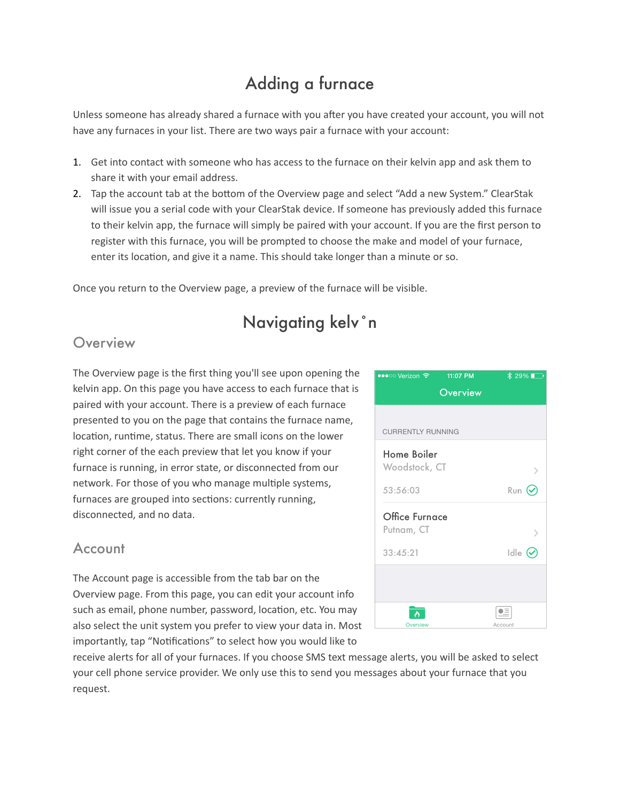# Adding a furnace

Unless someone has already shared a furnace with you after you have created your account, you will not have any furnaces in your list. There are two ways pair a furnace with your account:

- 1. Get into contact with someone who has access to the furnace on their kelvin app and ask them to share it with your email address.
- 2. Tap the account tab at the bottom of the Overview page and select "Add a new System." ClearStak will issue you a serial code with your ClearStak device. If someone has previously added this furnace to their kelvin app, the furnace will simply be paired with your account. If you are the first person to register with this furnace, you will be prompted to choose the make and model of your furnace, enter its location, and give it a name. This should take longer than a minute or so.

Once you return to the Overview page, a preview of the furnace will be visible.

## Navigating kelv˚n

## **Overview**

The Overview page is the first thing you'll see upon opening the kelvin app. On this page you have access to each furnace that is paired with your account. There is a preview of each furnace presented to you on the page that contains the furnace name, location, runtime, status. There are small icons on the lower right corner of the each preview that let you know if your furnace is running, in error state, or disconnected from our network. For those of you who manage multiple systems, furnaces are grouped into sections: currently running, disconnected, and no data.

## Account

The Account page is accessible from the tab bar on the Overview page. From this page, you can edit your account info such as email, phone number, password, location, etc. You may also select the unit system you prefer to view your data in. Most importantly, tap "Notifications" to select how you would like to



receive alerts for all of your furnaces. If you choose SMS text message alerts, you will be asked to select your cell phone service provider. We only use this to send you messages about your furnace that you request.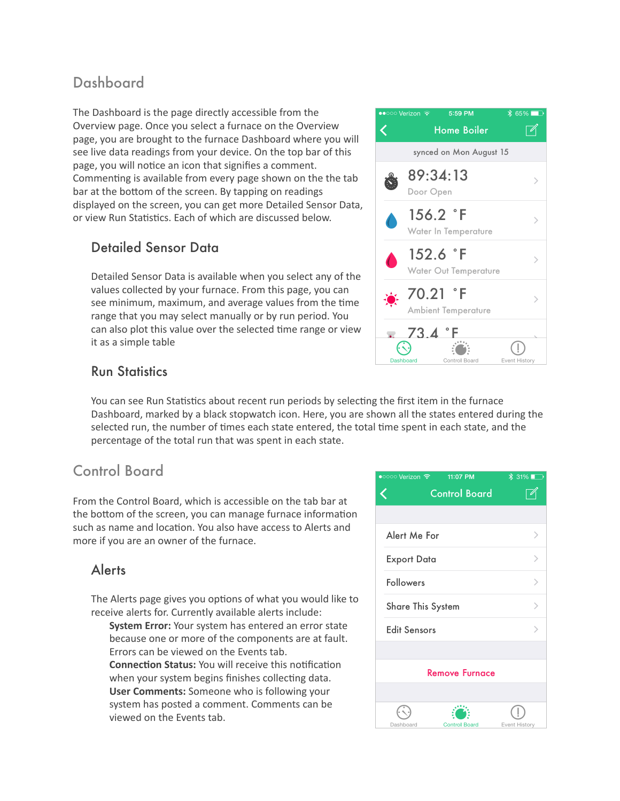## Dashboard

The Dashboard is the page directly accessible from the Overview page. Once you select a furnace on the Overview page, you are brought to the furnace Dashboard where you will see live data readings from your device. On the top bar of this page, you will notice an icon that signifies a comment. Commenting is available from every page shown on the the tab bar at the bottom of the screen. By tapping on readings displayed on the screen, you can get more Detailed Sensor Data, or view Run Statistics. Each of which are discussed below.

#### Detailed Sensor Data

Detailed Sensor Data is available when you select any of the values collected by your furnace. From this page, you can see minimum, maximum, and average values from the time range that you may select manually or by run period. You can also plot this value over the selected time range or view it as a simple table



#### Run Statistics

You can see Run Statistics about recent run periods by selecting the first item in the furnace Dashboard, marked by a black stopwatch icon. Here, you are shown all the states entered during the selected run, the number of times each state entered, the total time spent in each state, and the percentage of the total run that was spent in each state.

## Control Board

From the Control Board, which is accessible on the tab bar at the bottom of the screen, you can manage furnace information such as name and location. You also have access to Alerts and more if you are an owner of the furnace.

#### Alerts

The Alerts page gives you options of what you would like to receive alerts for. Currently available alerts include:

**System Error:** Your system has entered an error state because one or more of the components are at fault. Errors can be viewed on the Events tab. **Connection Status:** You will receive this notification when your system begins finishes collecting data. **User Comments:** Someone who is following your system has posted a comment. Comments can be viewed on the Events tab.

| ●○○○○ Verizon <del>?</del> 11:07 PM | $\frac{1}{2}$ 31% |  |
|-------------------------------------|-------------------|--|
| <b>Control Board</b>                |                   |  |
|                                     |                   |  |
| Alert Me For                        |                   |  |
| <b>Export Data</b>                  |                   |  |
| Followers                           |                   |  |
| <b>Share This System</b>            | ↘                 |  |
| <b>Edit Sensors</b>                 |                   |  |
|                                     |                   |  |
| <b>Remove Furnace</b>               |                   |  |
|                                     |                   |  |
|                                     |                   |  |
| Control Board<br>Dashhoard          | Fyent History     |  |